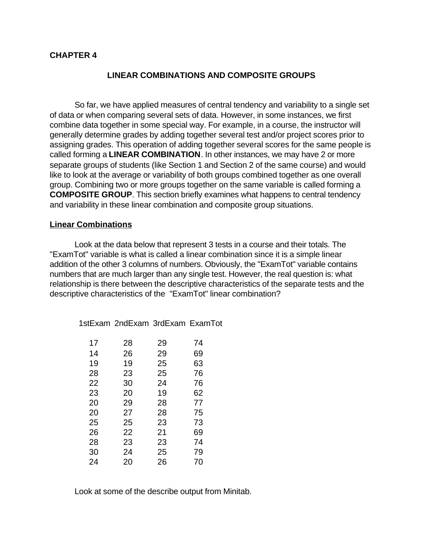## **CHAPTER 4**

## **LINEAR COMBINATIONS AND COMPOSITE GROUPS**

So far, we have applied measures of central tendency and variability to a single set of data or when comparing several sets of data. However, in some instances, we first combine data together in some special way. For example, in a course, the instructor will generally determine grades by adding together several test and/or project scores prior to assigning grades. This operation of adding together several scores for the same people is called forming a **LINEAR COMBINATION**. In other instances, we may have 2 or more separate groups of students (like Section 1 and Section 2 of the same course) and would like to look at the average or variability of both groups combined together as one overall group. Combining two or more groups together on the same variable is called forming a **COMPOSITE GROUP**. This section briefly examines what happens to central tendency and variability in these linear combination and composite group situations.

#### **Linear Combinations**

Look at the data below that represent 3 tests in a course and their totals. The "ExamTot" variable is what is called a linear combination since it is a simple linear addition of the other 3 columns of numbers. Obviously, the "ExamTot" variable contains numbers that are much larger than any single test. However, the real question is: what relationship is there between the descriptive characteristics of the separate tests and the descriptive characteristics of the "ExamTot" linear combination?

1stExam 2ndExam 3rdExam ExamTot

| 17 | 28 | 29 | 74 |
|----|----|----|----|
| 14 | 26 | 29 | 69 |
| 19 | 19 | 25 | 63 |
| 28 | 23 | 25 | 76 |
| 22 | 30 | 24 | 76 |
| 23 | 20 | 19 | 62 |
| 20 | 29 | 28 | 77 |
| 20 | 27 | 28 | 75 |
| 25 | 25 | 23 | 73 |
| 26 | 22 | 21 | 69 |
| 28 | 23 | 23 | 74 |
| 30 | 24 | 25 | 79 |
| 24 | 20 | 26 | 70 |

Look at some of the describe output from Minitab.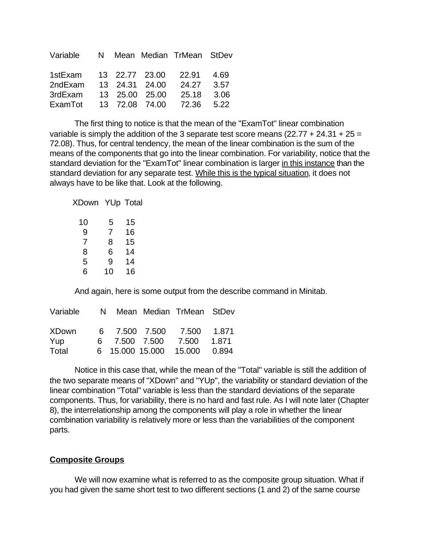| Variable |  |                | N Mean Median TrMean StDev |       |
|----------|--|----------------|----------------------------|-------|
| 1stExam  |  | 13 22.77 23.00 | 22.91                      | -4.69 |
| 2ndExam  |  | 13 24.31 24.00 | 24.27 3.57                 |       |
| 3rdExam  |  | 13 25.00 25.00 | 25.18                      | 3.06  |
| ExamTot  |  | 13 72.08 74.00 | 72.36 5.22                 |       |

The first thing to notice is that the mean of the "ExamTot" linear combination variable is simply the addition of the 3 separate test score means (22.77 + 24.31 + 25 = 72.08). Thus, for central tendency, the mean of the linear combination is the sum of the means of the components that go into the linear combination. For variability, notice that the standard deviation for the "ExamTot" linear combination is larger in this instance than the standard deviation for any separate test. While this is the typical situation, it does not always have to be like that. Look at the following.

XDown YUp Total

| 10 | 5  | 15 |
|----|----|----|
| 9  | 7  | 16 |
| 7  | 8  | 15 |
| 8  | 6  | 14 |
| 5  | 9  | 14 |
| 6  | 10 | 16 |

And again, here is some output from the describe command in Minitab.

| Variable     |  |                        | N Mean Median TrMean StDev |       |
|--------------|--|------------------------|----------------------------|-------|
| <b>XDown</b> |  |                        | 6 7.500 7.500 7.500 1.871  |       |
| Yup          |  | 6 7.500 7.500          | 7.500                      | 1.871 |
| Total        |  | 6 15.000 15.000 15.000 |                            | 0.894 |

Notice in this case that, while the mean of the "Total" variable is still the addition of the two separate means of "XDown" and "YUp", the variability or standard deviation of the linear combination "Total" variable is less than the standard deviations of the separate components. Thus, for variability, there is no hard and fast rule. As I will note later (Chapter 8), the interrelationship among the components will play a role in whether the linear combination variability is relatively more or less than the variabilities of the component parts.

## **Composite Groups**

We will now examine what is referred to as the composite group situation. What if you had given the same short test to two different sections (1 and 2) of the same course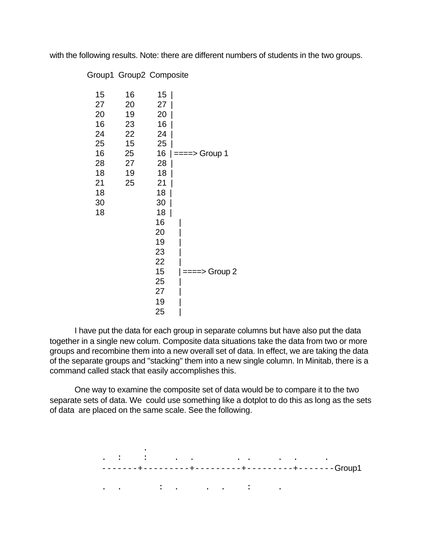with the following results. Note: there are different numbers of students in the two groups.

|  |  | Group1 Group2 Composite |
|--|--|-------------------------|
|--|--|-------------------------|

| 15<br>27<br>20<br>16<br>24<br>25<br>16<br>28<br>18<br>21<br>18<br>30 | 16<br>20<br>19<br>23<br>22<br>15<br>25<br>27<br>19<br>25 | 15<br>27<br>20<br>16<br>24<br>25<br>28<br>18<br>21<br>18<br>30 | 16 $  ==->$ Group 1 |
|----------------------------------------------------------------------|----------------------------------------------------------|----------------------------------------------------------------|---------------------|
| 18                                                                   |                                                          | 18<br>16<br>20<br>19<br>23<br>22<br>15<br>25<br>27<br>19<br>25 | ====> Group 2       |

I have put the data for each group in separate columns but have also put the data together in a single new colum. Composite data situations take the data from two or more groups and recombine them into a new overall set of data. In effect, we are taking the data of the separate groups and "stacking" them into a new single column. In Minitab, there is a command called stack that easily accomplishes this.

One way to examine the composite set of data would be to compare it to the two separate sets of data. We could use something like a dotplot to do this as long as the sets of data are placed on the same scale. See the following.

 . . In the contribution of the contribution of the contribution of the contribution of the contribution of the contribution of the contribution of the contribution of the contribution of the contribution of the contribution -------+---------+---------+---------+-------Group1 . . : . . . : .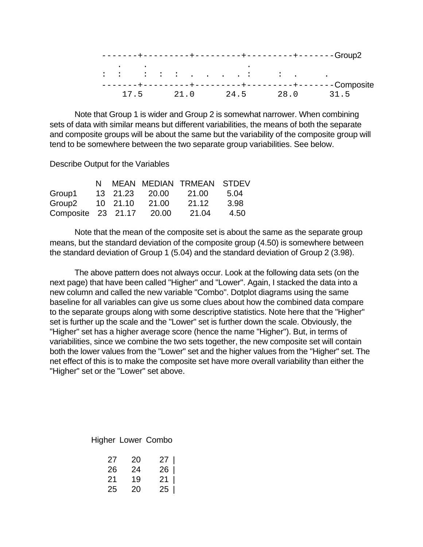|  |      |      |                                                                                                                                                                                                                                                                                                                                                                                                                                                            | -----+-------Group2 |      |
|--|------|------|------------------------------------------------------------------------------------------------------------------------------------------------------------------------------------------------------------------------------------------------------------------------------------------------------------------------------------------------------------------------------------------------------------------------------------------------------------|---------------------|------|
|  |      |      |                                                                                                                                                                                                                                                                                                                                                                                                                                                            |                     |      |
|  |      |      | $\mathbf{1} \qquad \mathbf{1} \qquad \mathbf{1} \qquad \mathbf{1} \qquad \mathbf{1} \qquad \mathbf{1} \qquad \mathbf{1} \qquad \mathbf{1} \qquad \mathbf{1} \qquad \mathbf{1} \qquad \mathbf{1} \qquad \mathbf{1} \qquad \mathbf{1} \qquad \mathbf{1} \qquad \mathbf{1} \qquad \mathbf{1} \qquad \mathbf{1} \qquad \mathbf{1} \qquad \mathbf{1} \qquad \mathbf{1} \qquad \mathbf{1} \qquad \mathbf{1} \qquad \mathbf{1} \qquad \mathbf{1} \qquad \mathbf{$ |                     |      |
|  |      |      |                                                                                                                                                                                                                                                                                                                                                                                                                                                            | -------Composite    |      |
|  | 21.0 | 24.5 | 28.0                                                                                                                                                                                                                                                                                                                                                                                                                                                       |                     | 31.5 |

Note that Group 1 is wider and Group 2 is somewhat narrower. When combining sets of data with similar means but different variabilities, the means of both the separate and composite groups will be about the same but the variability of the composite group will tend to be somewhere between the two separate group variabilities. See below.

Describe Output for the Variables

|                    |          |                | N MEAN MEDIAN TRMEAN STDEV |      |
|--------------------|----------|----------------|----------------------------|------|
| Group1             |          | 13 21.23 20.00 | 21.00                      | 5.04 |
| Group <sub>2</sub> | 10 21.10 | 21.00          | 21.12                      | 3.98 |
| Composite 23 21.17 |          | 20.00          | 21.04                      | 4.50 |

Note that the mean of the composite set is about the same as the separate group means, but the standard deviation of the composite group (4.50) is somewhere between the standard deviation of Group 1 (5.04) and the standard deviation of Group 2 (3.98).

The above pattern does not always occur. Look at the following data sets (on the next page) that have been called "Higher" and "Lower". Again, I stacked the data into a new column and called the new variable "Combo". Dotplot diagrams using the same baseline for all variables can give us some clues about how the combined data compare to the separate groups along with some descriptive statistics. Note here that the "Higher" set is further up the scale and the "Lower" set is further down the scale. Obviously, the "Higher" set has a higher average score (hence the name "Higher"). But, in terms of variabilities, since we combine the two sets together, the new composite set will contain both the lower values from the "Lower" set and the higher values from the "Higher" set. The net effect of this is to make the composite set have more overall variability than either the "Higher" set or the "Lower" set above.

Higher Lower Combo

| 27 | - 20 | $27 \mid$ |
|----|------|-----------|
| 26 | -24  | $26 \mid$ |
| 21 | 19   | $21 \mid$ |
| 25 | -20  | $25 \mid$ |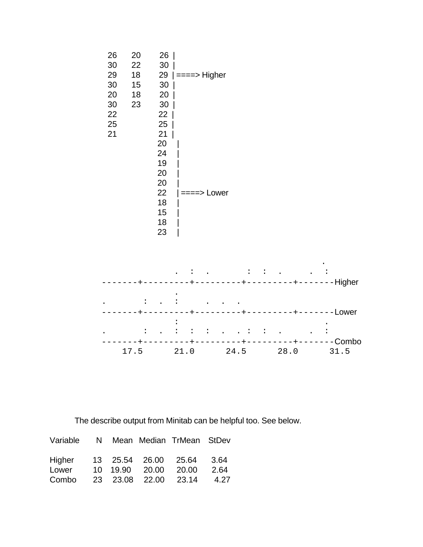



The describe output from Minitab can be helpful too. See below.

| Variable N Mean Median TrMean StDev |  |                  |                      |        |
|-------------------------------------|--|------------------|----------------------|--------|
| Higher 13 25.54 26.00 25.64 3.64    |  |                  |                      |        |
| Lower                               |  | 10  19.90  20.00 | 20.00                | - 2.64 |
| Combo                               |  |                  | 23 23.08 22.00 23.14 | 4.27   |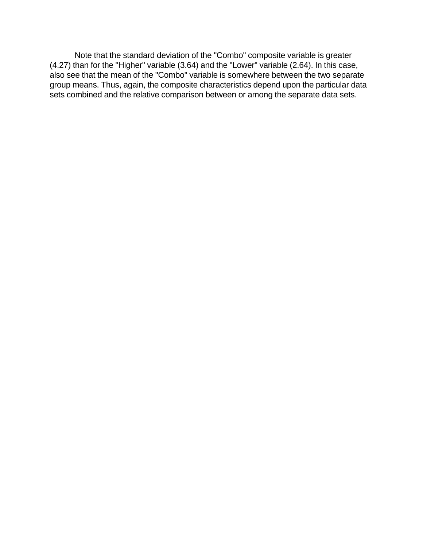Note that the standard deviation of the "Combo" composite variable is greater (4.27) than for the "Higher" variable (3.64) and the "Lower" variable (2.64). In this case, also see that the mean of the "Combo" variable is somewhere between the two separate group means. Thus, again, the composite characteristics depend upon the particular data sets combined and the relative comparison between or among the separate data sets.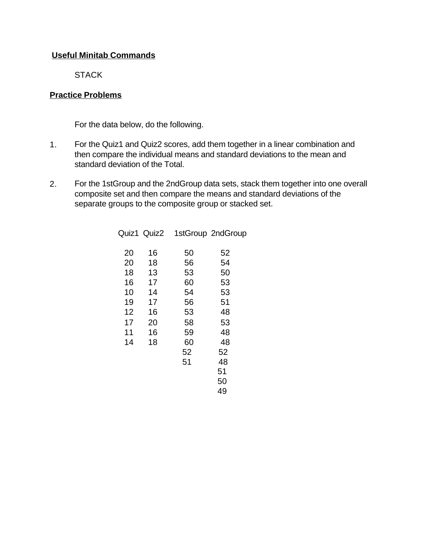# **Useful Minitab Commands**

**STACK** 

# **Practice Problems**

For the data below, do the following.

- 1. For the Quiz1 and Quiz2 scores, add them together in a linear combination and then compare the individual means and standard deviations to the mean and standard deviation of the Total.
- 2. For the 1stGroup and the 2ndGroup data sets, stack them together into one overall composite set and then compare the means and standard deviations of the separate groups to the composite group or stacked set.

|    | Quiz1 Quiz2 |    | 1stGroup 2ndGroup |
|----|-------------|----|-------------------|
| 20 | 16          | 50 | 52                |
| 20 | 18          | 56 | 54                |
| 18 | 13          | 53 | 50                |
| 16 | 17          | 60 | 53                |
| 10 | 14          | 54 | 53                |
| 19 | 17          | 56 | 51                |
| 12 | 16          | 53 | 48                |
| 17 | 20          | 58 | 53                |
| 11 | 16          | 59 | 48                |
| 14 | 18          | 60 | 48                |
|    |             | 52 | 52                |
|    |             | 51 | 48                |
|    |             |    | 51                |
|    |             |    | 50                |
|    |             |    | 49                |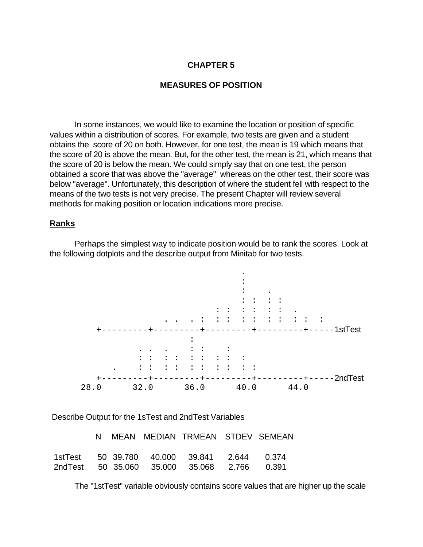## **CHAPTER 5**

#### **MEASURES OF POSITION**

In some instances, we would like to examine the location or position of specific values within a distribution of scores. For example, two tests are given and a student obtains the score of 20 on both. However, for one test, the mean is 19 which means that the score of 20 is above the mean. But, for the other test, the mean is 21, which means that the score of 20 is below the mean. We could simply say that on one test, the person obtained a score that was above the "average" whereas on the other test, their score was below "average". Unfortunately, this description of where the student fell with respect to the means of the two tests is not very precise. The present Chapter will review several methods for making position or location indications more precise.

#### **Ranks**

Perhaps the simplest way to indicate position would be to rank the scores. Look at the following dotplots and the describe output from Minitab for two tests.



Describe Output for the 1sTest and 2ndTest Variables

|  |  | N MEAN MEDIAN TRMEAN STDEV SEMEAN           |  |
|--|--|---------------------------------------------|--|
|  |  | 1stTest 50 39.780 40.000 39.841 2.644 0.374 |  |
|  |  | 2ndTest 50 35.060 35.000 35.068 2.766 0.391 |  |

The "1stTest" variable obviously contains score values that are higher up the scale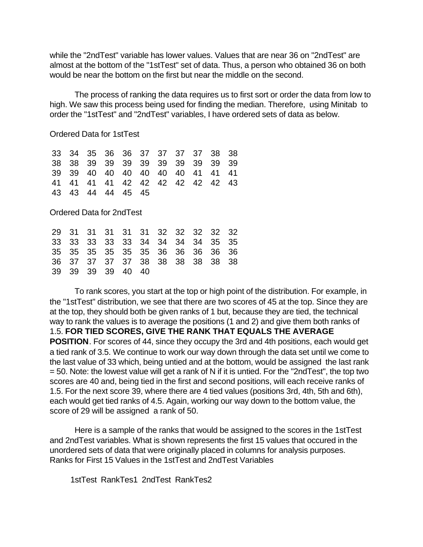while the "2ndTest" variable has lower values. Values that are near 36 on "2ndTest" are almost at the bottom of the "1stTest" set of data. Thus, a person who obtained 36 on both would be near the bottom on the first but near the middle on the second.

The process of ranking the data requires us to first sort or order the data from low to high. We saw this process being used for finding the median. Therefore, using Minitab to order the "1stTest" and "2ndTest" variables, I have ordered sets of data as below.

Ordered Data for 1stTest

|  |                   |  |  | 33 34 35 36 36 37 37 37 37 38 38    |  |
|--|-------------------|--|--|-------------------------------------|--|
|  |                   |  |  | 38 38 39 39 39 39 39 39 39 39 39 39 |  |
|  |                   |  |  | 39 39 40 40 40 40 40 40 41 41 41    |  |
|  |                   |  |  | 41 41 41 41 42 42 42 42 42 42 43    |  |
|  | 43 43 44 44 45 45 |  |  |                                     |  |

Ordered Data for 2ndTest

|  |                   |  |  | 29 31 31 31 31 31 32 32 32 32 32 |  |
|--|-------------------|--|--|----------------------------------|--|
|  |                   |  |  | 33 33 33 33 33 34 34 34 34 35 35 |  |
|  |                   |  |  | 35 35 35 35 35 35 36 36 36 36 36 |  |
|  |                   |  |  | 36 37 37 37 37 38 38 38 38 38 38 |  |
|  | 39 39 39 39 40 40 |  |  |                                  |  |

To rank scores, you start at the top or high point of the distribution. For example, in the "1stTest" distribution, we see that there are two scores of 45 at the top. Since they are at the top, they should both be given ranks of 1 but, because they are tied, the technical way to rank the values is to average the positions (1 and 2) and give them both ranks of 1.5. **FOR TIED SCORES, GIVE THE RANK THAT EQUALS THE AVERAGE POSITION**. For scores of 44, since they occupy the 3rd and 4th positions, each would get a tied rank of 3.5. We continue to work our way down through the data set until we come to the last value of 33 which, being untied and at the bottom, would be assigned the last rank = 50. Note: the lowest value will get a rank of N if it is untied. For the "2ndTest", the top two scores are 40 and, being tied in the first and second positions, will each receive ranks of 1.5. For the next score 39, where there are 4 tied values (positions 3rd, 4th, 5th and 6th), each would get tied ranks of 4.5. Again, working our way down to the bottom value, the score of 29 will be assigned a rank of 50.

Here is a sample of the ranks that would be assigned to the scores in the 1stTest and 2ndTest variables. What is shown represents the first 15 values that occured in the unordered sets of data that were originally placed in columns for analysis purposes. Ranks for First 15 Values in the 1stTest and 2ndTest Variables

1stTest RankTes1 2ndTest RankTes2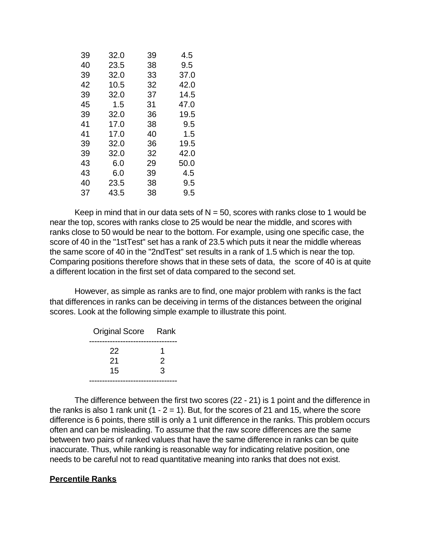| 39 | 32.0 | 39 | 4.5  |
|----|------|----|------|
| 40 | 23.5 | 38 | 9.5  |
| 39 | 32.0 | 33 | 37.0 |
| 42 | 10.5 | 32 | 42.0 |
| 39 | 32.0 | 37 | 14.5 |
| 45 | 1.5  | 31 | 47.0 |
| 39 | 32.0 | 36 | 19.5 |
| 41 | 17.0 | 38 | 9.5  |
| 41 | 17.0 | 40 | 1.5  |
| 39 | 32.0 | 36 | 19.5 |
| 39 | 32.0 | 32 | 42.0 |
| 43 | 6.0  | 29 | 50.0 |
| 43 | 6.0  | 39 | 4.5  |
| 40 | 23.5 | 38 | 9.5  |
| 37 | 43.5 | 38 | 9.5  |

Keep in mind that in our data sets of  $N = 50$ , scores with ranks close to 1 would be near the top, scores with ranks close to 25 would be near the middle, and scores with ranks close to 50 would be near to the bottom. For example, using one specific case, the score of 40 in the "1stTest" set has a rank of 23.5 which puts it near the middle whereas the same score of 40 in the "2ndTest" set results in a rank of 1.5 which is near the top. Comparing positions therefore shows that in these sets of data, the score of 40 is at quite a different location in the first set of data compared to the second set.

However, as simple as ranks are to find, one major problem with ranks is the fact that differences in ranks can be deceiving in terms of the distances between the original scores. Look at the following simple example to illustrate this point.

| Original Score Rank |   |
|---------------------|---|
| 22                  |   |
| 21                  | 2 |
| 15                  | ঽ |
|                     |   |

The difference between the first two scores (22 - 21) is 1 point and the difference in the ranks is also 1 rank unit  $(1 - 2 = 1)$ . But, for the scores of 21 and 15, where the score difference is 6 points, there still is only a 1 unit difference in the ranks. This problem occurs often and can be misleading. To assume that the raw score differences are the same between two pairs of ranked values that have the same difference in ranks can be quite inaccurate. Thus, while ranking is reasonable way for indicating relative position, one needs to be careful not to read quantitative meaning into ranks that does not exist.

### **Percentile Ranks**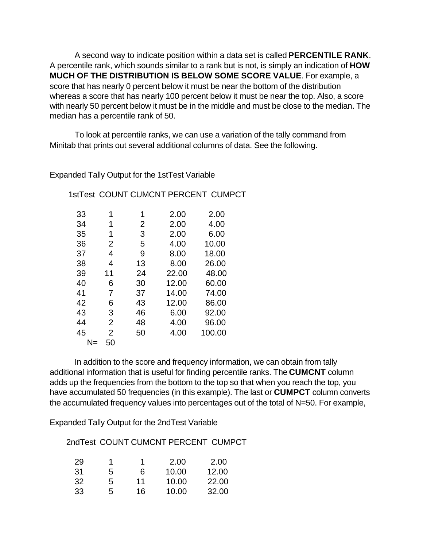A second way to indicate position within a data set is called **PERCENTILE RANK**. A percentile rank, which sounds similar to a rank but is not, is simply an indication of **HOW MUCH OF THE DISTRIBUTION IS BELOW SOME SCORE VALUE**. For example, a score that has nearly 0 percent below it must be near the bottom of the distribution whereas a score that has nearly 100 percent below it must be near the top. Also, a score with nearly 50 percent below it must be in the middle and must be close to the median. The median has a percentile rank of 50.

To look at percentile ranks, we can use a variation of the tally command from Minitab that prints out several additional columns of data. See the following.

Expanded Tally Output for the 1stTest Variable

| 1stTest COUNT CUMCNT PERCENT CUMPCT |  |
|-------------------------------------|--|
|-------------------------------------|--|

| 33 | 1              | 1              | 2.00  | 2.00   |
|----|----------------|----------------|-------|--------|
| 34 | 1              | $\overline{2}$ | 2.00  | 4.00   |
| 35 | 1              | 3              | 2.00  | 6.00   |
| 36 | 2              | 5              | 4.00  | 10.00  |
| 37 | 4              | 9              | 8.00  | 18.00  |
| 38 | 4              | 13             | 8.00  | 26.00  |
| 39 | 11             | 24             | 22.00 | 48.00  |
| 40 | 6              | 30             | 12.00 | 60.00  |
| 41 | 7              | 37             | 14.00 | 74.00  |
| 42 | 6              | 43             | 12.00 | 86.00  |
| 43 | 3              | 46             | 6.00  | 92.00  |
| 44 | $\overline{2}$ | 48             | 4.00  | 96.00  |
| 45 | $\overline{2}$ | 50             | 4.00  | 100.00 |
|    | 50<br>$N =$    |                |       |        |

In addition to the score and frequency information, we can obtain from tally additional information that is useful for finding percentile ranks. The **CUMCNT** column adds up the frequencies from the bottom to the top so that when you reach the top, you have accumulated 50 frequencies (in this example). The last or **CUMPCT** column converts the accumulated frequency values into percentages out of the total of N=50. For example,

Expanded Tally Output for the 2ndTest Variable

2ndTest COUNT CUMCNT PERCENT CUMPCT

| 29  |    | 1  | 2.00  | 2.00  |
|-----|----|----|-------|-------|
| :31 | b  | 6  | 10.00 | 12.00 |
| 32  | ٠h | 11 | 10.00 | 22.00 |
| 33  | :5 | 16 | 10.00 | 32.00 |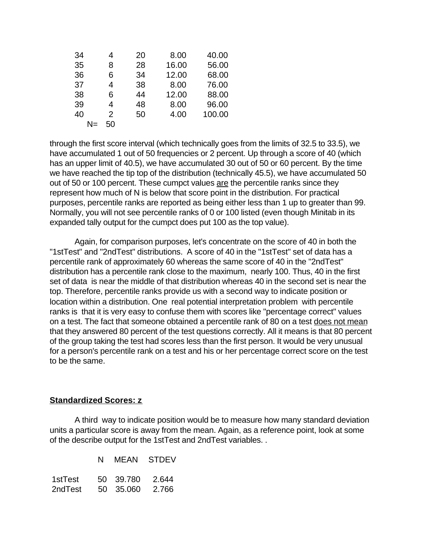| 34 |    | 20 | 8.00  | 40.00  |
|----|----|----|-------|--------|
| 35 | 8  | 28 | 16.00 | 56.00  |
| 36 | 6  | 34 | 12.00 | 68.00  |
| 37 | 4  | 38 | 8.00  | 76.00  |
| 38 | 6  | 44 | 12.00 | 88.00  |
| 39 | 4  | 48 | 8.00  | 96.00  |
| 40 | 2  | 50 | 4.00  | 100.00 |
|    | 50 |    |       |        |

through the first score interval (which technically goes from the limits of 32.5 to 33.5), we have accumulated 1 out of 50 frequencies or 2 percent. Up through a score of 40 (which has an upper limit of 40.5), we have accumulated 30 out of 50 or 60 percent. By the time we have reached the tip top of the distribution (technically 45.5), we have accumulated 50 out of 50 or 100 percent. These cumpct values are the percentile ranks since they represent how much of N is below that score point in the distribution. For practical purposes, percentile ranks are reported as being either less than 1 up to greater than 99. Normally, you will not see percentile ranks of 0 or 100 listed (even though Minitab in its expanded tally output for the cumpct does put 100 as the top value).

Again, for comparison purposes, let's concentrate on the score of 40 in both the "1stTest" and "2ndTest" distributions. A score of 40 in the "1stTest" set of data has a percentile rank of approximately 60 whereas the same score of 40 in the "2ndTest" distribution has a percentile rank close to the maximum, nearly 100. Thus, 40 in the first set of data is near the middle of that distribution whereas 40 in the second set is near the top. Therefore, percentile ranks provide us with a second way to indicate position or location within a distribution. One real potential interpretation problem with percentile ranks is that it is very easy to confuse them with scores like "percentage correct" values on a test. The fact that someone obtained a percentile rank of 80 on a test does not mean that they answered 80 percent of the test questions correctly. All it means is that 80 percent of the group taking the test had scores less than the first person. It would be very unusual for a person's percentile rank on a test and his or her percentage correct score on the test to be the same.

## **Standardized Scores: z**

A third way to indicate position would be to measure how many standard deviation units a particular score is away from the mean. Again, as a reference point, look at some of the describe output for the 1stTest and 2ndTest variables. .

|         | N MEAN STDEV    |  |
|---------|-----------------|--|
| 1stTest | 50 39.780 2.644 |  |
| 2ndTest | 50 35,060 2.766 |  |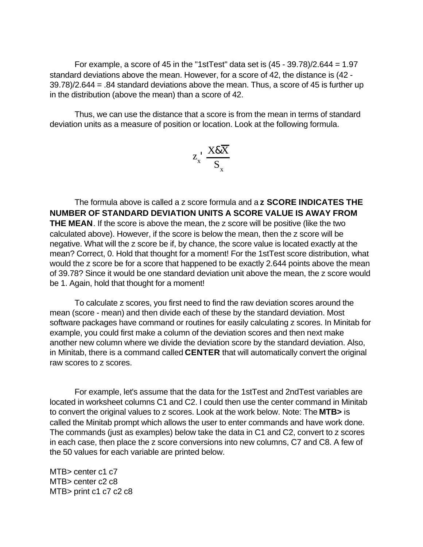For example, a score of 45 in the "1stTest" data set is  $(45 - 39.78)/2.644 = 1.97$ standard deviations above the mean. However, for a score of 42, the distance is (42 - 39.78)/2.644 = .84 standard deviations above the mean. Thus, a score of 45 is further up in the distribution (above the mean) than a score of 42.

Thus, we can use the distance that a score is from the mean in terms of standard deviation units as a measure of position or location. Look at the following formula.

$$
z_x^{\top} \frac{X \& \overline{X}}{S_x}
$$

The formula above is called a z score formula and a **z SCORE INDICATES THE NUMBER OF STANDARD DEVIATION UNITS A SCORE VALUE IS AWAY FROM THE MEAN**. If the score is above the mean, the z score will be positive (like the two calculated above). However, if the score is below the mean, then the z score will be negative. What will the z score be if, by chance, the score value is located exactly at the mean? Correct, 0. Hold that thought for a moment! For the 1stTest score distribution, what would the z score be for a score that happened to be exactly 2.644 points above the mean of 39.78? Since it would be one standard deviation unit above the mean, the z score would be 1. Again, hold that thought for a moment!

To calculate z scores, you first need to find the raw deviation scores around the mean (score - mean) and then divide each of these by the standard deviation. Most software packages have command or routines for easily calculating z scores. In Minitab for example, you could first make a column of the deviation scores and then next make another new column where we divide the deviation score by the standard deviation. Also, in Minitab, there is a command called **CENTER** that will automatically convert the original raw scores to z scores.

For example, let's assume that the data for the 1stTest and 2ndTest variables are located in worksheet columns C1 and C2. I could then use the center command in Minitab to convert the original values to z scores. Look at the work below. Note: The **MTB>** is called the Minitab prompt which allows the user to enter commands and have work done. The commands (just as examples) below take the data in C1 and C2, convert to z scores in each case, then place the z score conversions into new columns, C7 and C8. A few of the 50 values for each variable are printed below.

MTB> center c1 c7 MTB> center c2 c8 MTB> print c1 c7 c2 c8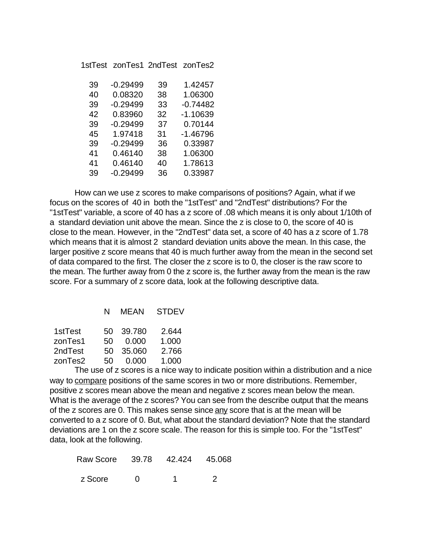1stTest zonTes1 2ndTest zonTes2

| 39 | $-0.29499$ | 39 | 1.42457    |
|----|------------|----|------------|
| 40 | 0.08320    | 38 | 1.06300    |
| 39 | $-0.29499$ | 33 | $-0.74482$ |
| 42 | 0.83960    | 32 | $-1.10639$ |
| 39 | $-0.29499$ | 37 | 0.70144    |
| 45 | 1.97418    | 31 | $-1.46796$ |
| 39 | $-0.29499$ | 36 | 0.33987    |
| 41 | 0.46140    | 38 | 1.06300    |
| 41 | 0.46140    | 40 | 1.78613    |
| 39 | $-0.29499$ | 36 | 0.33987    |

How can we use z scores to make comparisons of positions? Again, what if we focus on the scores of 40 in both the "1stTest" and "2ndTest" distributions? For the "1stTest" variable, a score of 40 has a z score of .08 which means it is only about 1/10th of a standard deviation unit above the mean. Since the z is close to 0, the score of 40 is close to the mean. However, in the "2ndTest" data set, a score of 40 has a z score of 1.78 which means that it is almost 2 standard deviation units above the mean. In this case, the larger positive z score means that 40 is much further away from the mean in the second set of data compared to the first. The closer the z score is to 0, the closer is the raw score to the mean. The further away from 0 the z score is, the further away from the mean is the raw score. For a summary of z score data, look at the following descriptive data.

|  | <b>MEAN</b> | <b>STDEV</b> |
|--|-------------|--------------|
|--|-------------|--------------|

| 1stTest |      | 50 39.780 | 2.644 |
|---------|------|-----------|-------|
| zonTes1 | 50 - | - 0.000   | 1.000 |
| 2ndTest |      | 50 35.060 | 2.766 |
| zonTes2 | 50-  | -0.000    | 1.000 |

The use of z scores is a nice way to indicate position within a distribution and a nice way to compare positions of the same scores in two or more distributions. Remember, positive z scores mean above the mean and negative z scores mean below the mean. What is the average of the z scores? You can see from the describe output that the means of the z scores are 0. This makes sense since any score that is at the mean will be converted to a z score of 0. But, what about the standard deviation? Note that the standard deviations are 1 on the z score scale. The reason for this is simple too. For the "1stTest" data, look at the following.

|         |  | Raw Score 39.78 42.424 45.068 |  |
|---------|--|-------------------------------|--|
| z Score |  |                               |  |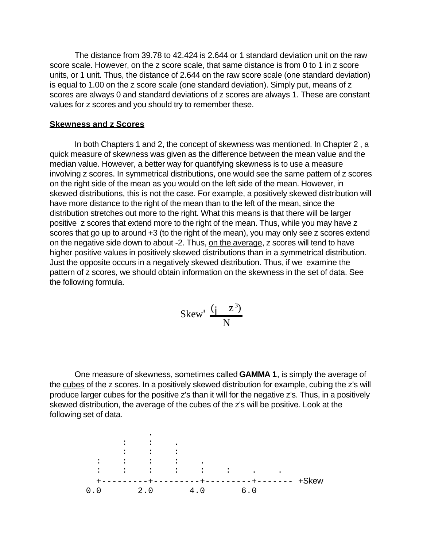The distance from 39.78 to 42.424 is 2.644 or 1 standard deviation unit on the raw score scale. However, on the z score scale, that same distance is from 0 to 1 in z score units, or 1 unit. Thus, the distance of 2.644 on the raw score scale (one standard deviation) is equal to 1.00 on the z score scale (one standard deviation). Simply put, means of z scores are always 0 and standard deviations of z scores are always 1. These are constant values for z scores and you should try to remember these.

#### **Skewness and z Scores**

In both Chapters 1 and 2, the concept of skewness was mentioned. In Chapter 2 , a quick measure of skewness was given as the difference between the mean value and the median value. However, a better way for quantifying skewness is to use a measure involving z scores. In symmetrical distributions, one would see the same pattern of z scores on the right side of the mean as you would on the left side of the mean. However, in skewed distributions, this is not the case. For example, a positively skewed distribution will have more distance to the right of the mean than to the left of the mean, since the distribution stretches out more to the right. What this means is that there will be larger positive z scores that extend more to the right of the mean. Thus, while you may have z scores that go up to around +3 (to the right of the mean), you may only see z scores extend on the negative side down to about -2. Thus, on the average, z scores will tend to have higher positive values in positively skewed distributions than in a symmetrical distribution. Just the opposite occurs in a negatively skewed distribution. Thus, if we examine the pattern of z scores, we should obtain information on the skewness in the set of data. See the following formula.

$$
Skew' \frac{(j \ z^3)}{N}
$$

One measure of skewness, sometimes called **GAMMA 1**, is simply the average of the cubes of the z scores. In a positively skewed distribution for example, cubing the z's will produce larger cubes for the positive z's than it will for the negative z's. Thus, in a positively skewed distribution, the average of the cubes of the z's will be positive. Look at the following set of data.

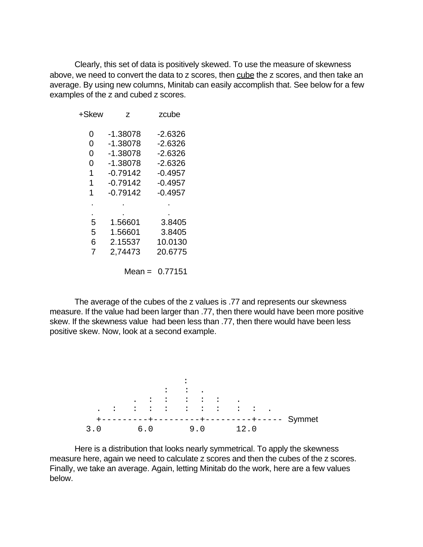Clearly, this set of data is positively skewed. To use the measure of skewness above, we need to convert the data to z scores, then cube the z scores, and then take an average. By using new columns, Minitab can easily accomplish that. See below for a few examples of the z and cubed z scores.

| +Skew | Z          | zcube     |
|-------|------------|-----------|
| 0     | $-1.38078$ | $-2.6326$ |
| 0     | $-1.38078$ | $-2.6326$ |
| 0     | $-1.38078$ | $-2.6326$ |
| 0     | $-1.38078$ | $-2.6326$ |
| 1     | $-0.79142$ | $-0.4957$ |
| 1     | $-0.79142$ | $-0.4957$ |
| 1     | $-0.79142$ | $-0.4957$ |
|       |            |           |
|       |            |           |
| 5     | 1.56601    | 3.8405    |
| 5     | 1.56601    | 3.8405    |
| 6     | 2.15537    | 10.0130   |
| 7     | 2,74473    | 20.6775   |
|       | Mean =     | 0.77151   |

The average of the cubes of the z values is .77 and represents our skewness measure. If the value had been larger than .77, then there would have been more positive skew. If the skewness value had been less than .77, then there would have been less positive skew. Now, look at a second example.



Here is a distribution that looks nearly symmetrical. To apply the skewness measure here, again we need to calculate z scores and then the cubes of the z scores. Finally, we take an average. Again, letting Minitab do the work, here are a few values below.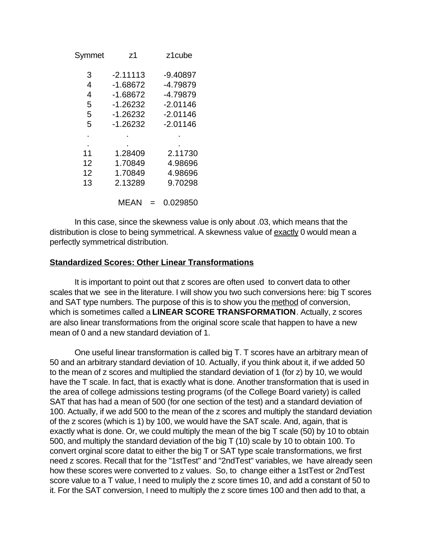| Symmet | z <sub>1</sub> | z1cube     |
|--------|----------------|------------|
| 3      | $-2.11113$     | $-9.40897$ |
| 4      | $-1.68672$     | -4.79879   |
| 4      | $-1.68672$     | -4.79879   |
| 5      | $-1.26232$     | $-2.01146$ |
| 5      | $-1.26232$     | $-2.01146$ |
| 5      | $-1.26232$     | $-2.01146$ |
|        |                |            |
|        |                |            |
| 11     | 1.28409        | 2.11730    |
| 12     | 1.70849        | 4.98696    |
| 12     | 1.70849        | 4.98696    |
| 13     | 2.13289        | 9.70298    |
|        | MEAN           | 0.029850   |

In this case, since the skewness value is only about .03, which means that the distribution is close to being symmetrical. A skewness value of exactly 0 would mean a perfectly symmetrical distribution.

## **Standardized Scores: Other Linear Transformations**

It is important to point out that z scores are often used to convert data to other scales that we see in the literature. I will show you two such conversions here: big T scores and SAT type numbers. The purpose of this is to show you the method of conversion, which is sometimes called a **LINEAR SCORE TRANSFORMATION**. Actually, z scores are also linear transformations from the original score scale that happen to have a new mean of 0 and a new standard deviation of 1.

One useful linear transformation is called big T. T scores have an arbitrary mean of 50 and an arbitrary standard deviation of 10. Actually, if you think about it, if we added 50 to the mean of z scores and multiplied the standard deviation of 1 (for z) by 10, we would have the T scale. In fact, that is exactly what is done. Another transformation that is used in the area of college admissions testing programs (of the College Board variety) is called SAT that has had a mean of 500 (for one section of the test) and a standard deviation of 100. Actually, if we add 500 to the mean of the z scores and multiply the standard deviation of the z scores (which is 1) by 100, we would have the SAT scale. And, again, that is exactly what is done. Or, we could multiply the mean of the big T scale (50) by 10 to obtain 500, and multiply the standard deviation of the big T (10) scale by 10 to obtain 100. To convert orginal score datat to either the big T or SAT type scale transformations, we first need z scores. Recall that for the "1stTest" and "2ndTest" variables, we have already seen how these scores were converted to z values. So, to change either a 1stTest or 2ndTest score value to a T value, I need to muliply the z score times 10, and add a constant of 50 to it. For the SAT conversion, I need to multiply the z score times 100 and then add to that, a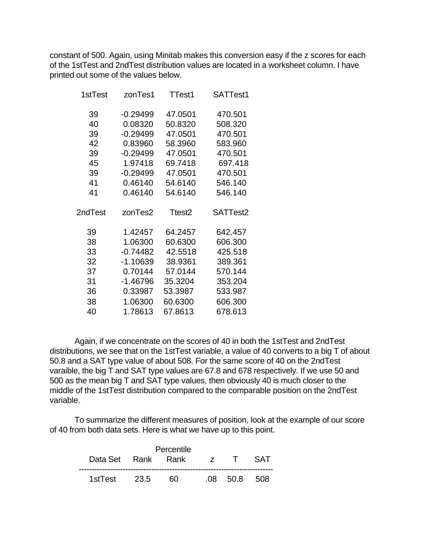constant of 500. Again, using Minitab makes this conversion easy if the z scores for each of the 1stTest and 2ndTest distribution values are located in a worksheet column. I have printed out some of the values below.

| 1stTest  | zonTes1            | TTest1             | SATTest1           |
|----------|--------------------|--------------------|--------------------|
| 39       | $-0.29499$         | 47.0501            | 470.501            |
| 40       | 0.08320            | 50.8320            | 508.320            |
| 39       | $-0.29499$         | 47.0501            | 470.501            |
| 42       | 0.83960            | 58.3960            | 583.960            |
| 39       | $-0.29499$         | 47.0501            | 470.501            |
| 45       | 1.97418            | 69.7418            | 697.418            |
| 39       | $-0.29499$         | 47.0501            | 470.501            |
| 41       | 0.46140            | 54.6140            | 546.140            |
| 41       | 0.46140            | 54.6140            | 546.140            |
|          |                    |                    |                    |
| 2ndTest  | zonTes2            | Ttest <sub>2</sub> | SATTest2           |
|          |                    |                    |                    |
|          |                    |                    |                    |
| 39<br>38 | 1.42457<br>1.06300 | 64.2457<br>60.6300 | 642.457            |
| 33       | $-0.74482$         | 42.5518            | 606.300<br>425.518 |
| 32       | $-1.10639$         | 38.9361            | 389.361            |
| 37       | 0.70144            | 57.0144            | 570.144            |
| 31       | $-1.46796$         | 35.3204            | 353.204            |
| 36       | 0.33987            | 53.3987            | 533.987            |
| 38       | 1.06300            | 60.6300            | 606.300            |

Again, if we concentrate on the scores of 40 in both the 1stTest and 2ndTest distributions, we see that on the 1stTest variable, a value of 40 converts to a big T of about 50.8 and a SAT type value of about 508. For the same score of 40 on the 2ndTest varaible, the big T and SAT type values are 67.8 and 678 respectively. If we use 50 and 500 as the mean big T and SAT type values, then obviously 40 is much closer to the middle of the 1stTest distribution compared to the comparable position on the 2ndTest variable.

To summarize the different measures of position, look at the example of our score of 40 from both data sets. Here is what we have up to this point.

|               |                            | Percentile |              |  |  |
|---------------|----------------------------|------------|--------------|--|--|
|               | Data Set Rank Rank z T SAT |            |              |  |  |
| 1stTest  23.5 |                            | 60         | .08 50.8 508 |  |  |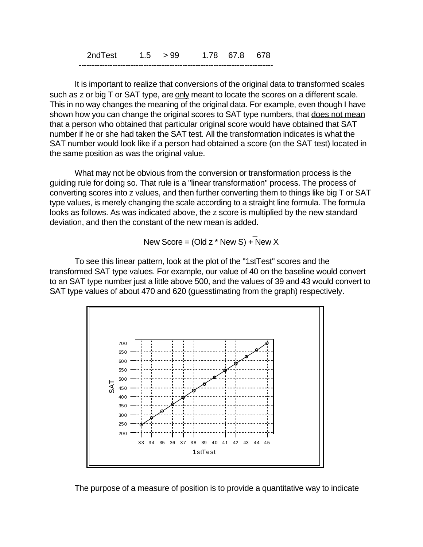2ndTest 1.5 > 99 1.78 67.8 678 ---------------------------------------------------------------------------

 $\mathcal{L}=\mathcal{L}^{\mathcal{L}}$  , where  $\mathcal{L}^{\mathcal{L}}=\mathcal{L}^{\mathcal{L}}$  , where  $\mathcal{L}^{\mathcal{L}}=\mathcal{L}^{\mathcal{L}}$  , we have the set of  $\mathcal{L}^{\mathcal{L}}$ 

It is important to realize that conversions of the original data to transformed scales such as z or big T or SAT type, are only meant to locate the scores on a different scale. This in no way changes the meaning of the original data. For example, even though I have shown how you can change the original scores to SAT type numbers, that does not mean that a person who obtained that particular original score would have obtained that SAT number if he or she had taken the SAT test. All the transformation indicates is what the SAT number would look like if a person had obtained a score (on the SAT test) located in the same position as was the original value.

What may not be obvious from the conversion or transformation process is the guiding rule for doing so. That rule is a "linear transformation" process. The process of converting scores into z values, and then further converting them to things like big T or SAT type values, is merely changing the scale according to a straight line formula. The formula looks as follows. As was indicated above, the z score is multiplied by the new standard deviation, and then the constant of the new mean is added.

New Score =  $(Old z * New S) + New X$ 

To see this linear pattern, look at the plot of the "1stTest" scores and the transformed SAT type values. For example, our value of 40 on the baseline would convert to an SAT type number just a little above 500, and the values of 39 and 43 would convert to SAT type values of about 470 and 620 (guesstimating from the graph) respectively.



The purpose of a measure of position is to provide a quantitative way to indicate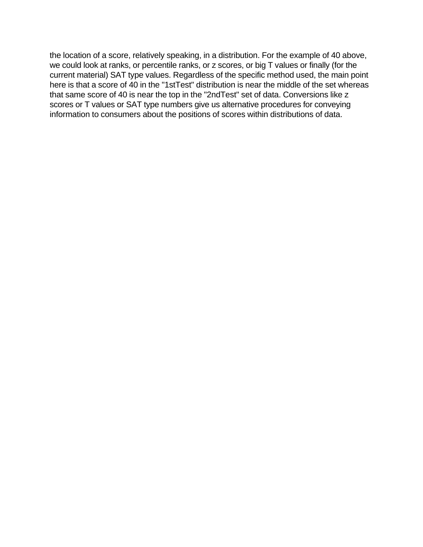the location of a score, relatively speaking, in a distribution. For the example of 40 above, we could look at ranks, or percentile ranks, or z scores, or big T values or finally (for the current material) SAT type values. Regardless of the specific method used, the main point here is that a score of 40 in the "1stTest" distribution is near the middle of the set whereas that same score of 40 is near the top in the "2ndTest" set of data. Conversions like z scores or T values or SAT type numbers give us alternative procedures for conveying information to consumers about the positions of scores within distributions of data.